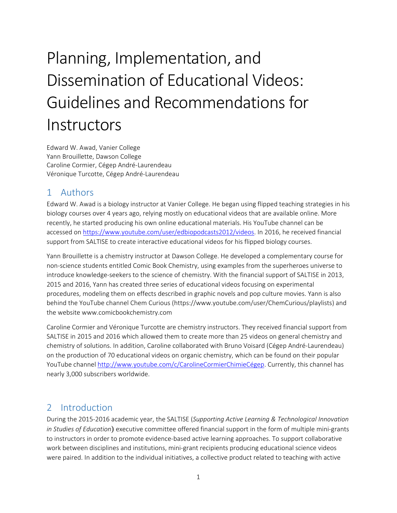# Planning, Implementation, and Dissemination of Educational Videos: Guidelines and Recommendationsfor **Instructors**

Edward W. Awad, Vanier College Yann Brouillette, Dawson College Caroline Cormier, Cégep André‐Laurendeau Véronique Turcotte, Cégep André‐Laurendeau

# 1 Authors

Edward W. Awad is a biology instructor at Vanier College. He began using flipped teaching strategies in his biology courses over 4 years ago, relying mostly on educational videos that are available online. More recently, he started producing his own online educational materials. His YouTube channel can be accessed on https://www.youtube.com/user/edbiopodcasts2012/videos. In 2016, he received financial support from SALTISE to create interactive educational videos for his flipped biology courses.

Yann Brouillette is a chemistry instructor at Dawson College. He developed a complementary course for non‐science students entitled Comic Book Chemistry, using examples from the superheroes universe to introduce knowledge‐seekers to the science of chemistry. With the financial support of SALTISE in 2013, 2015 and 2016, Yann has created three series of educational videos focusing on experimental procedures, modeling them on effects described in graphic novels and pop culture movies. Yann is also behind the YouTube channel Chem Curious (https://www.youtube.com/user/ChemCurious/playlists) and the website www.comicbookchemistry.com

Caroline Cormier and Véronique Turcotte are chemistry instructors. They received financial support from SALTISE in 2015 and 2016 which allowed them to create more than 25 videos on general chemistry and chemistry of solutions. In addition, Caroline collaborated with Bruno Voisard (Cégep André‐Laurendeau) on the production of 70 educational videos on organic chemistry, which can be found on their popular YouTube channel http://www.youtube.com/c/CarolineCormierChimieCégep. Currently, this channel has nearly 3,000 subscribers worldwide.

# 2 Introduction

During the 2015‐2016 academic year, the SALTISE (*Supporting Active Learning & Technological Innovation in Studies of Education*) executive committee offered financial support in the form of multiple mini‐grants to instructors in order to promote evidence‐based active learning approaches. To support collaborative work between disciplines and institutions, mini-grant recipients producing educational science videos were paired. In addition to the individual initiatives, a collective product related to teaching with active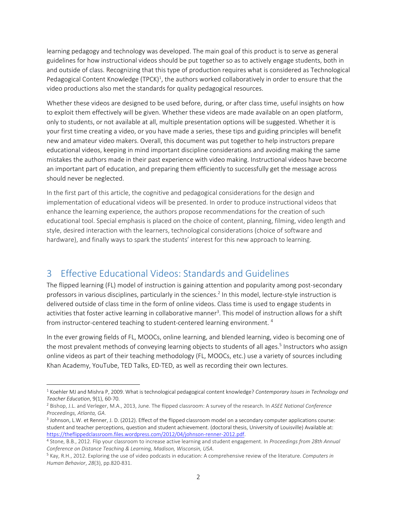learning pedagogy and technology was developed. The main goal of this product is to serve as general guidelines for how instructional videos should be put together so as to actively engage students, both in and outside of class. Recognizing that this type of production requires what is considered as Technological Pedagogical Content Knowledge (TPCK)<sup>1</sup>, the authors worked collaboratively in order to ensure that the video productions also met the standards for quality pedagogical resources.

Whether these videos are designed to be used before, during, or after class time, useful insights on how to exploit them effectively will be given. Whether these videos are made available on an open platform, only to students, or not available at all, multiple presentation options will be suggested. Whether it is your first time creating a video, or you have made a series, these tips and guiding principles will benefit new and amateur video makers. Overall, this document was put together to help instructors prepare educational videos, keeping in mind important discipline considerations and avoiding making the same mistakes the authors made in their past experience with video making. Instructional videos have become an important part of education, and preparing them efficiently to successfully get the message across should never be neglected.

In the first part of this article, the cognitive and pedagogical considerations for the design and implementation of educational videos will be presented. In order to produce instructional videos that enhance the learning experience, the authors propose recommendations for the creation of such educational tool. Special emphasis is placed on the choice of content, planning, filming, video length and style, desired interaction with the learners, technological considerations (choice of software and hardware), and finally ways to spark the students' interest for this new approach to learning.

# 3 Effective Educational Videos: Standards and Guidelines

The flipped learning (FL) model of instruction is gaining attention and popularity among post‐secondary professors in various disciplines, particularly in the sciences.<sup>2</sup> In this model, lecture-style instruction is delivered outside of class time in the form of online videos. Class time is used to engage students in activities that foster active learning in collaborative manner<sup>3</sup>. This model of instruction allows for a shift from instructor-centered teaching to student-centered learning environment.  $4$ 

In the ever growing fields of FL, MOOCs, online learning, and blended learning, video is becoming one of the most prevalent methods of conveying learning objects to students of all ages.<sup>5</sup> Instructors who assign online videos as part of their teaching methodology (FL, MOOCs, etc.) use a variety of sources including Khan Academy, YouTube, TED Talks, ED‐TED, as well as recording their own lectures.

 <sup>1</sup> Koehler MJ and Mishra P, 2009. What is technological pedagogical content knowledge? *Contemporary Issues in Technology and Teacher Education*, 9(1), 60‐70.

<sup>2</sup> Bishop, J.L. and Verleger, M.A., 2013, June. The flipped classroom: A survey of the research. In *ASEE National Conference Proceedings, Atlanta, GA*.

<sup>3</sup> Johnson, L.W. et Renner, J. D. (2012). Effect of the flipped classroom model on a secondary computer applications course: student and teacher perceptions, question and student achievement. (doctoral thesis, University of Louisville) Available at: https://theflippedclassroom.files.wordpress.com/2012/04/johnson‐renner‐2012.pdf.

<sup>4</sup> Stone, B.B., 2012. Flip your classroom to increase active learning and student engagement. In *Proceedings from 28th Annual Conference on Distance Teaching & Learning, Madison, Wisconsin, USA*.

<sup>5</sup> Kay, R.H., 2012. Exploring the use of video podcasts in education: A comprehensive review of the literature. *Computers in Human Behavior*, *28*(3), pp.820‐831.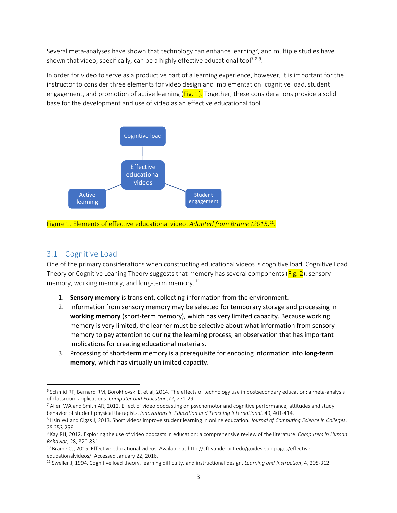Several meta-analyses have shown that technology can enhance learning<sup>6</sup>, and multiple studies have shown that video, specifically, can be a highly effective educational tool<sup>789</sup>.

In order for video to serve as a productive part of a learning experience, however, it is important for the instructor to consider three elements for video design and implementation: cognitive load, student engagement, and promotion of active learning  $(Fig. 1)$ . Together, these considerations provide a solid base for the development and use of video as an effective educational tool.



Figure 1. Elements of effective educational video. *Adapted from Brame (2015)10.* 

## 3.1 Cognitive Load

One of the primary considerations when constructing educational videos is cognitive load. Cognitive Load Theory or Cognitive Leaning Theory suggests that memory has several components  $(Fig. 2)$ : sensory memory, working memory, and long-term memory.  $11$ 

- 1. **Sensory memory** is transient, collecting information from the environment.
- 2. Information from sensory memory may be selected for temporary storage and processing in **working memory** (short‐term memory), which has very limited capacity. Because working memory is very limited, the learner must be selective about what information from sensory memory to pay attention to during the learning process, an observation that has important implications for creating educational materials.
- 3. Processing of short‐term memory is a prerequisite for encoding information into **long‐term memory**, which has virtually unlimited capacity.

<sup>6</sup> Schmid RF, Bernard RM, Borokhovski E, et al, 2014. The effects of technology use in postsecondary education: a meta‐analysis of classroom applications. *Computer and Education*,72, 271‐291.

<sup>7</sup> Allen WA and Smith AR, 2012. Effect of video podcasting on psychomotor and cognitive performance, attitudes and study behavior of student physical therapists. *Innovations in Education and Teaching International*, 49, 401‐414.

<sup>8</sup> Hsin WJ and Cigas J, 2013. Short videos improve student learning in online education. *Journal of Computing Science in Colleges*, 28,253‐259.

<sup>9</sup> Kay RH, 2012. Exploring the use of video podcasts in education: a comprehensive review of the literature. *Computers in Human Behavior*, 28, 820‐831.

<sup>&</sup>lt;sup>10</sup> Brame CJ, 2015. Effective educational videos. Available at http://cft.vanderbilt.edu/guides-sub-pages/effectiveeducationalvideos/. Accessed January 22, 2016.

<sup>11</sup> Sweller J, 1994. Cognitive load theory, learning difficulty, and instructional design. *Learning and Instruction*, 4, 295‐312.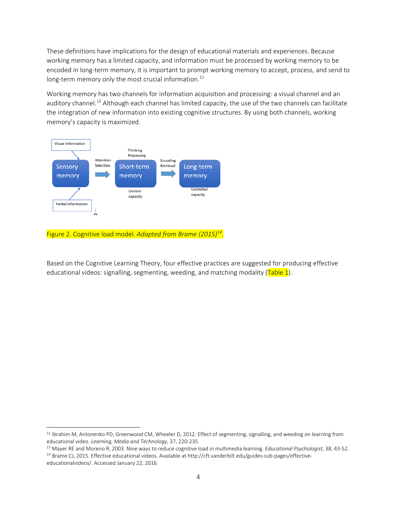These definitions have implications for the design of educational materials and experiences. Because working memory has a limited capacity, and information must be processed by working memory to be encoded in long‐term memory, it is important to prompt working memory to accept, process, and send to long-term memory only the most crucial information.<sup>12</sup>

Working memory has two channels for information acquisition and processing: a visual channel and an auditory channel.<sup>13</sup> Although each channel has limited capacity, the use of the two channels can facilitate the integration of new information into existing cognitive structures. By using both channels, working memory's capacity is maximized.



#### Figure 2. Cognitive load model. *Adapted from Brame (2015)14.*

Based on the Cognitive Learning Theory, four effective practices are suggested for producing effective educational videos: signalling, segmenting, weeding, and matching modality (Table 1).

 $12$  Ibrahim M, Antonenko PD, Greenwood CM, Wheeler D, 2012. Effect of segmenting, signalling, and weeding on learning from educational video. *Learning, Media and Technology*, 37, 220‐235.

<sup>13</sup> Mayer RE and Moreno R, 2003. Nine ways to reduce cognitive load in multimedia learning. *Educational Psychologist*, 38, 43‐52.

<sup>14</sup> Brame CJ, 2015. Effective educational videos. Available at http://cft.vanderbilt.edu/guides-sub-pages/effectiveeducationalvideos/. Accessed January 22, 2016.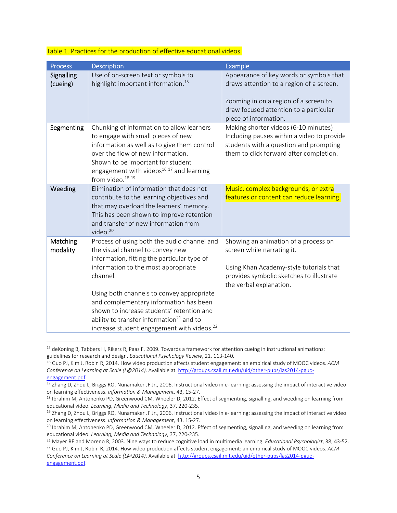| <b>Process</b>         | <b>Description</b>                                                                                                                                                                                                                                                                                                                                                                                                             | Example                                                                                                                                                                                         |
|------------------------|--------------------------------------------------------------------------------------------------------------------------------------------------------------------------------------------------------------------------------------------------------------------------------------------------------------------------------------------------------------------------------------------------------------------------------|-------------------------------------------------------------------------------------------------------------------------------------------------------------------------------------------------|
| Signalling<br>(cueing) | Use of on-screen text or symbols to<br>highlight important information. <sup>15</sup>                                                                                                                                                                                                                                                                                                                                          | Appearance of key words or symbols that<br>draws attention to a region of a screen.<br>Zooming in on a region of a screen to<br>draw focused attention to a particular<br>piece of information. |
| Segmenting             | Chunking of information to allow learners<br>to engage with small pieces of new<br>information as well as to give them control<br>over the flow of new information.<br>Shown to be important for student<br>engagement with videos <sup>16 17</sup> and learning<br>from video. <sup>18 19</sup>                                                                                                                               | Making shorter videos (6-10 minutes)<br>Including pauses within a video to provide<br>students with a question and prompting<br>them to click forward after completion.                         |
| Weeding                | Elimination of information that does not<br>contribute to the learning objectives and<br>that may overload the learners' memory.<br>This has been shown to improve retention<br>and transfer of new information from<br>video. $20$                                                                                                                                                                                            | Music, complex backgrounds, or extra<br>features or content can reduce learning.                                                                                                                |
| Matching<br>modality   | Process of using both the audio channel and<br>the visual channel to convey new<br>information, fitting the particular type of<br>information to the most appropriate<br>channel.<br>Using both channels to convey appropriate<br>and complementary information has been<br>shown to increase students' retention and<br>ability to transfer information $21$ and to<br>increase student engagement with videos. <sup>22</sup> | Showing an animation of a process on<br>screen while narrating it.<br>Using Khan Academy-style tutorials that<br>provides symbolic sketches to illustrate<br>the verbal explanation.            |

#### Table 1. Practices for the production of effective educational videos.

<sup>15</sup> deKoning B, Tabbers H, Rikers R, Paas F, 2009. Towards a framework for attention cueing in instructional animations: guidelines for research and design. *Educational Psychology Review*, 21, 113‐140.

<sup>16</sup> Guo PJ, Kim J, Robin R, 2014. How video production affects student engagement: an empirical study of MOOC videos. *ACM Conference on Learning at Scale (L@2014)*. Available at http://groups.csail.mit.edu/uid/other‐pubs/las2014‐pguo‐ engagement.pdf.

<sup>17</sup> Zhang D, Zhou L, Briggs RO, Nunamaker JF Jr., 2006. Instructional video in e-learning: assessing the impact of interactive video on learning effectiveness. *Information & Management*, 43, 15‐27.

<sup>&</sup>lt;sup>18</sup> Ibrahim M, Antonenko PD, Greenwood CM, Wheeler D, 2012. Effect of segmenting, signalling, and weeding on learning from educational video. *Learning, Media and Technology*, 37, 220‐235.

<sup>&</sup>lt;sup>19</sup> Zhang D, Zhou L, Briggs RO, Nunamaker JF Jr., 2006. Instructional video in e-learning: assessing the impact of interactive video on learning effectiveness. *Information & Management*, 43, 15‐27.

<sup>&</sup>lt;sup>20</sup> Ibrahim M, Antonenko PD, Greenwood CM, Wheeler D, 2012. Effect of segmenting, signalling, and weeding on learning from educational video. *Learning, Media and Technology*, 37, 220‐235.

<sup>21</sup> Mayer RE and Moreno R, 2003. Nine ways to reduce cognitive load in multimedia learning. *Educational Psychologist*, 38, 43‐52.

<sup>22</sup> Guo PJ, Kim J, Robin R, 2014. How video production affects student engagement: an empirical study of MOOC videos. *ACM Conference on Learning at Scale (L@2014)*. Available at http://groups.csail.mit.edu/uid/other‐pubs/las2014‐pguo‐ engagement.pdf.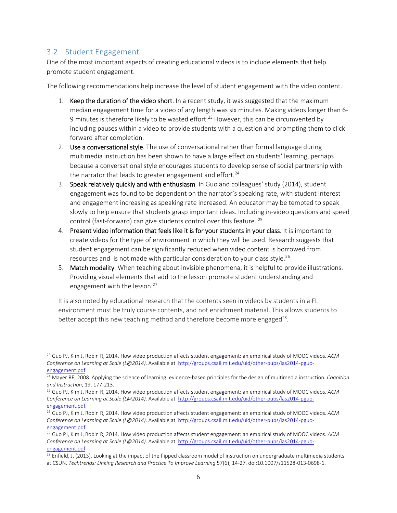# 3.2 Student Engagement

One of the most important aspects of creating educational videos is to include elements that help promote student engagement.

The following recommendations help increase the level of student engagement with the video content.

- 1. Keep the duration of the video short. In a recent study, it was suggested that the maximum median engagement time for a video of any length was six minutes. Making videos longer than 6‐ 9 minutes is therefore likely to be wasted effort.<sup>23</sup> However, this can be circumvented by including pauses within a video to provide students with a question and prompting them to click forward after completion.
- 2. Use a conversational style. The use of conversational rather than formal language during multimedia instruction has been shown to have a large effect on students' learning, perhaps because a conversational style encourages students to develop sense of social partnership with the narrator that leads to greater engagement and effort.<sup>24</sup>
- 3. Speak relatively quickly and with enthusiasm. In Guo and colleagues' study (2014), student engagement was found to be dependent on the narrator's speaking rate, with student interest and engagement increasing as speaking rate increased. An educator may be tempted to speak slowly to help ensure that students grasp important ideas. Including in-video questions and speed control (fast-forward) can give students control over this feature. <sup>25</sup>
- 4. Present video information that feels like it is for your students in your class. It is important to create videos for the type of environment in which they will be used. Research suggests that student engagement can be significantly reduced when video content is borrowed from resources and is not made with particular consideration to your class style.<sup>26</sup>
- 5. Match modality. When teaching about invisible phenomena, it is helpful to provide illustrations. Providing visual elements that add to the lesson promote student understanding and engagement with the lesson.<sup>27</sup>

It is also noted by educational research that the contents seen in videos by students in a FL environment must be truly course contents, and not enrichment material. This allows students to better accept this new teaching method and therefore become more engaged<sup>28</sup>.

<sup>23</sup> Guo PJ, Kim J, Robin R, 2014. How video production affects student engagement: an empirical study of MOOC videos. *ACM Conference on Learning at Scale (L@2014)*. Available at http://groups.csail.mit.edu/uid/other‐pubs/las2014‐pguo‐ engagement.pdf.

<sup>24</sup> Mayer RE, 2008. Applying the science of learning: evidence‐based principles for the design of multimedia instruction. *Cognition and Instruction*, 19, 177‐213.

<sup>25</sup> Guo PJ, Kim J, Robin R, 2014. How video production affects student engagement: an empirical study of MOOC videos. *ACM Conference on Learning at Scale (L@2014)*. Available at http://groups.csail.mit.edu/uid/other‐pubs/las2014‐pguo‐ engagement.pdf.

<sup>26</sup> Guo PJ, Kim J, Robin R, 2014. How video production affects student engagement: an empirical study of MOOC videos. *ACM Conference on Learning at Scale (L@2014)*. Available at http://groups.csail.mit.edu/uid/other‐pubs/las2014‐pguo‐ engagement.pdf.

<sup>27</sup> Guo PJ, Kim J, Robin R, 2014. How video production affects student engagement: an empirical study of MOOC videos. *ACM Conference on Learning at Scale (L@2014)*. Available at http://groups.csail.mit.edu/uid/other‐pubs/las2014‐pguo‐ engagement.pdf.

<sup>&</sup>lt;sup>28</sup> Enfield, J. (2013). Looking at the impact of the flipped classroom model of instruction on undergraduate multimedia students at CSUN. *Techtrends: Linking Research and Practice To Improve Learning* 57(6), 14‐27. doi:10.1007/s11528‐013‐0698‐1.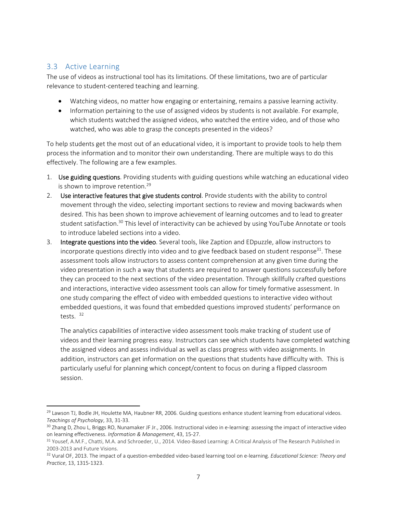# 3.3 Active Learning

The use of videos as instructional tool has its limitations. Of these limitations, two are of particular relevance to student‐centered teaching and learning.

- Watching videos, no matter how engaging or entertaining, remains a passive learning activity.
- Information pertaining to the use of assigned videos by students is not available. For example, which students watched the assigned videos, who watched the entire video, and of those who watched, who was able to grasp the concepts presented in the videos?

To help students get the most out of an educational video, it is important to provide tools to help them process the information and to monitor their own understanding. There are multiple ways to do this effectively. The following are a few examples.

- 1. Use guiding questions. Providing students with guiding questions while watching an educational video is shown to improve retention.<sup>29</sup>
- 2. Use interactive features that give students control. Provide students with the ability to control movement through the video, selecting important sections to review and moving backwards when desired. This has been shown to improve achievement of learning outcomes and to lead to greater student satisfaction.<sup>30</sup> This level of interactivity can be achieved by using YouTube Annotate or tools to introduce labeled sections into a video.
- 3. Integrate questions into the video. Several tools, like Zaption and EDpuzzle, allow instructors to incorporate questions directly into video and to give feedback based on student response<sup>31</sup>. These assessment tools allow instructors to assess content comprehension at any given time during the video presentation in such a way that students are required to answer questions successfully before they can proceed to the next sections of the video presentation. Through skillfully crafted questions and interactions, interactive video assessment tools can allow for timely formative assessment. In one study comparing the effect of video with embedded questions to interactive video without embedded questions, it was found that embedded questions improved students' performance on tests. 32

The analytics capabilities of interactive video assessment tools make tracking of student use of videos and their learning progress easy. Instructors can see which students have completed watching the assigned videos and assess individual as well as class progress with video assignments. In addition, instructors can get information on the questions that students have difficulty with. This is particularly useful for planning which concept/content to focus on during a flipped classroom session.

 <sup>29</sup> Lawson TJ, Bodle JH, Houlette MA, Haubner RR, 2006. Guiding questions enhance student learning from educational videos. *Teachings of Psychology*, 33, 31‐33.

<sup>&</sup>lt;sup>30</sup> Zhang D, Zhou L, Briggs RO, Nunamaker JF Jr., 2006. Instructional video in e-learning: assessing the impact of interactive video on learning effectiveness. *Information & Management*, 43, 15‐27.

<sup>31</sup> Yousef, A.M.F., Chatti, M.A. and Schroeder, U., 2014. Video-Based Learning: A Critical Analysis of The Research Published in 2003‐2013 and Future Visions.

<sup>32</sup> Vural OF, 2013. The impact of a question‐embedded video‐based learning tool on e‐learning. *Educational Science: Theory and Practice*, 13, 1315‐1323.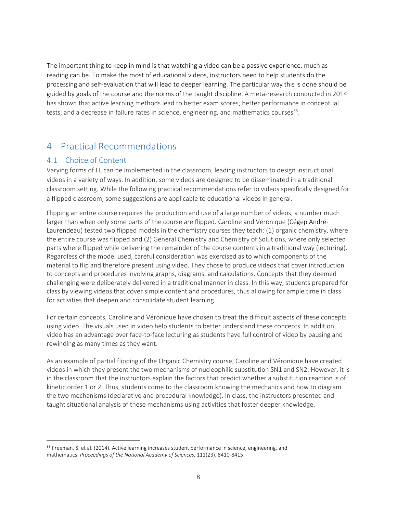The important thing to keep in mind is that watching a video can be a passive experience, much as reading can be. To make the most of educational videos, instructors need to help students do the processing and self‐evaluation that will lead to deeper learning. The particular way this is done should be guided by goals of the course and the norms of the taught discipline. A meta‐research conducted in 2014 has shown that active learning methods lead to better exam scores, better performance in conceptual tests, and a decrease in failure rates in science, engineering, and mathematics courses $^{33}$ .

# 4 Practical Recommendations

# 4.1 Choice of Content

Varying forms of FL can be implemented in the classroom, leading instructors to design instructional videos in a variety of ways. In addition, some videos are designed to be disseminated in a traditional classroom setting. While the following practical recommendations refer to videos specifically designed for a flipped classroom, some suggestions are applicable to educational videos in general.

Flipping an entire course requires the production and use of a large number of videos, a number much larger than when only some parts of the course are flipped. Caroline and Véronique (Cégep André‐ Laurendeau) tested two flipped models in the chemistry courses they teach: (1) organic chemistry, where the entire course was flipped and (2) General Chemistry and Chemistry of Solutions, where only selected parts where flipped while delivering the remainder of the course contents in a traditional way (lecturing). Regardless of the model used, careful consideration was exercised as to which components of the material to flip and therefore present using video. They chose to produce videos that cover introduction to concepts and procedures involving graphs, diagrams, and calculations. Concepts that they deemed challenging were deliberately delivered in a traditional manner in class. In this way, students prepared for class by viewing videos that cover simple content and procedures, thus allowing for ample time in class for activities that deepen and consolidate student learning.

For certain concepts, Caroline and Véronique have chosen to treat the difficult aspects of these concepts using video. The visuals used in video help students to better understand these concepts. In addition, video has an advantage over face‐to‐face lecturing as students have full control of video by pausing and rewinding as many times as they want.

As an example of partial flipping of the Organic Chemistry course, Caroline and Véronique have created videos in which they present the two mechanisms of nucleophilic substitution SN1 and SN2. However, it is in the classroom that the instructors explain the factors that predict whether a substitution reaction is of kinetic order 1 or 2. Thus, students come to the classroom knowing the mechanics and how to diagram the two mechanisms (declarative and procedural knowledge). In class, the instructors presented and taught situational analysis of these mechanisms using activities that foster deeper knowledge.

<sup>&</sup>lt;sup>33</sup> Freeman, S. et al. (2014). Active learning increases student performance in science, engineering, and mathematics. *Proceedings of the National Academy of Sciences*, 111(23), 8410‐8415.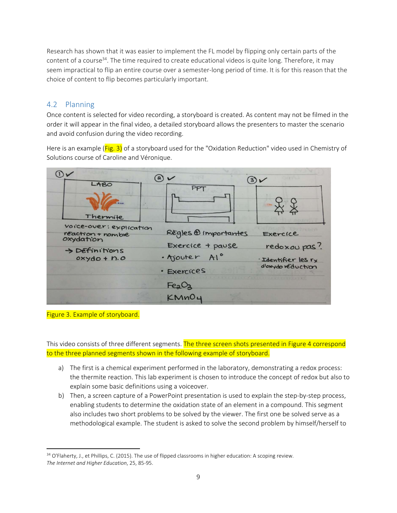Research has shown that it was easier to implement the FL model by flipping only certain parts of the content of a course<sup>34</sup>. The time required to create educational videos is quite long. Therefore, it may seem impractical to flip an entire course over a semester‐long period of time. It is for this reason that the choice of content to flip becomes particularly important.

# 4.2 Planning

Once content is selected for video recording, a storyboard is created. As content may not be filmed in the order it will appear in the final video, a detailed storyboard allows the presenters to master the scenario and avoid confusion during the video recording.

Here is an example (Fig. 3) of a storyboard used for the "Oxidation Reduction" video used in Chemistry of Solutions course of Caroline and Véronique.

| LABO                                                      | a)<br>and the second second<br>(3)      |                                     |  |
|-----------------------------------------------------------|-----------------------------------------|-------------------------------------|--|
| Thermite                                                  | PPT                                     |                                     |  |
| voice-over: explication<br>reaction + nomble<br>oxydation | Regles @ importantes                    | Exercice                            |  |
| > Definitions<br>$o$ xydo + n.o                           | Exercice + pause<br>· Ajouter Al.º      | redoxou pas?<br>· Identifier les rx |  |
|                                                           | · Exercices                             | d'oxydo réduction                   |  |
|                                                           | Fe <sub>2</sub> O <sub>2</sub><br>KMnO4 |                                     |  |

Figure 3. Example of storyboard.

This video consists of three different segments. The three screen shots presented in Figure 4 correspond to the three planned segments shown in the following example of storyboard.

- a) The first is a chemical experiment performed in the laboratory, demonstrating a redox process: the thermite reaction. This lab experiment is chosen to introduce the concept of redox but also to explain some basic definitions using a voiceover.
- b) Then, a screen capture of a PowerPoint presentation is used to explain the step-by-step process, enabling students to determine the oxidation state of an element in a compound. This segment also includes two short problems to be solved by the viewer. The first one be solved serve as a methodological example. The student is asked to solve the second problem by himself/herself to

 <sup>34</sup> O'Flaherty, J., et Phillips, C. (2015). The use of flipped classrooms in higher education: A scoping review. *The Internet and Higher Education*, 25, 85‐95.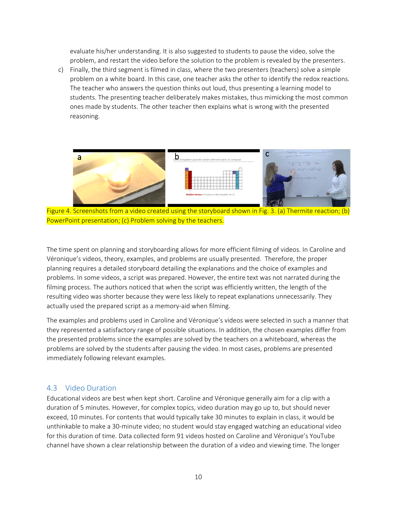evaluate his/her understanding. It is also suggested to students to pause the video, solve the problem, and restart the video before the solution to the problem is revealed by the presenters.

c) Finally, the third segment is filmed in class, where the two presenters (teachers) solve a simple problem on a white board. In this case, one teacher asks the other to identify the redox reactions. The teacher who answers the question thinks out loud, thus presenting a learning model to students. The presenting teacher deliberately makes mistakes, thus mimicking the most common ones made by students. The other teacher then explains what is wrong with the presented reasoning.



Figure 4. Screenshots from a video created using the storyboard shown in Fig. 3. (a) Thermite reaction; (b) PowerPoint presentation; (c) Problem solving by the teachers.

The time spent on planning and storyboarding allows for more efficient filming of videos. In Caroline and Véronique's videos, theory, examples, and problems are usually presented. Therefore, the proper planning requires a detailed storyboard detailing the explanations and the choice of examples and problems. In some videos, a script was prepared. However, the entire text was not narrated during the filming process. The authors noticed that when the script was efficiently written, the length of the resulting video was shorter because they were less likely to repeat explanations unnecessarily. They actually used the prepared script as a memory-aid when filming.

The examples and problems used in Caroline and Véronique's videos were selected in such a manner that they represented a satisfactory range of possible situations. In addition, the chosen examples differ from the presented problems since the examples are solved by the teachers on a whiteboard, whereas the problems are solved by the students after pausing the video. In most cases, problems are presented immediately following relevant examples.

#### 4.3 Video Duration

Educational videos are best when kept short. Caroline and Véronique generally aim for a clip with a duration of 5 minutes. However, for complex topics, video duration may go up to, but should never exceed, 10 minutes. For contents that would typically take 30 minutes to explain in class, it would be unthinkable to make a 30‐minute video; no student would stay engaged watching an educational video for this duration of time. Data collected form 91 videos hosted on Caroline and Véronique's YouTube channel have shown a clear relationship between the duration of a video and viewing time. The longer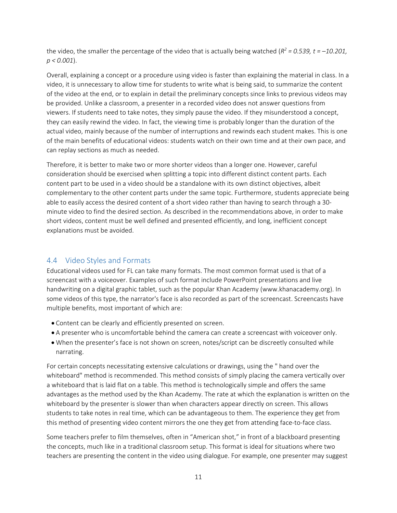the video, the smaller the percentage of the video that is actually being watched ( $R^2$  = 0.539, t =  $-10.201$ , *p < 0.001*).

Overall, explaining a concept or a procedure using video is faster than explaining the material in class. In a video, it is unnecessary to allow time for students to write what is being said, to summarize the content of the video at the end, or to explain in detail the preliminary concepts since links to previous videos may be provided. Unlike a classroom, a presenter in a recorded video does not answer questions from viewers. If students need to take notes, they simply pause the video. If they misunderstood a concept, they can easily rewind the video. In fact, the viewing time is probably longer than the duration of the actual video, mainly because of the number of interruptions and rewinds each student makes. This is one of the main benefits of educational videos: students watch on their own time and at their own pace, and can replay sections as much as needed.

Therefore, it is better to make two or more shorter videos than a longer one. However, careful consideration should be exercised when splitting a topic into different distinct content parts. Each content part to be used in a video should be a standalone with its own distinct objectives, albeit complementary to the other content parts under the same topic. Furthermore, students appreciate being able to easily access the desired content of a short video rather than having to search through a 30‐ minute video to find the desired section. As described in the recommendations above, in order to make short videos, content must be well defined and presented efficiently, and long, inefficient concept explanations must be avoided.

# 4.4 Video Styles and Formats

Educational videos used for FL can take many formats. The most common format used is that of a screencast with a voiceover. Examples of such format include PowerPoint presentations and live handwriting on a digital graphic tablet, such as the popular Khan Academy (www.khanacademy.org). In some videos of this type, the narrator's face is also recorded as part of the screencast. Screencasts have multiple benefits, most important of which are:

- Content can be clearly and efficiently presented on screen.
- A presenter who is uncomfortable behind the camera can create a screencast with voiceover only.
- When the presenter's face is not shown on screen, notes/script can be discreetly consulted while narrating.

For certain concepts necessitating extensive calculations or drawings, using the " hand over the whiteboard" method is recommended. This method consists of simply placing the camera vertically over a whiteboard that is laid flat on a table. This method is technologically simple and offers the same advantages as the method used by the Khan Academy. The rate at which the explanation is written on the whiteboard by the presenter is slower than when characters appear directly on screen. This allows students to take notes in real time, which can be advantageous to them. The experience they get from this method of presenting video content mirrors the one they get from attending face-to-face class.

Some teachers prefer to film themselves, often in "American shot," in front of a blackboard presenting the concepts, much like in a traditional classroom setup. This format is ideal for situations where two teachers are presenting the content in the video using dialogue. For example, one presenter may suggest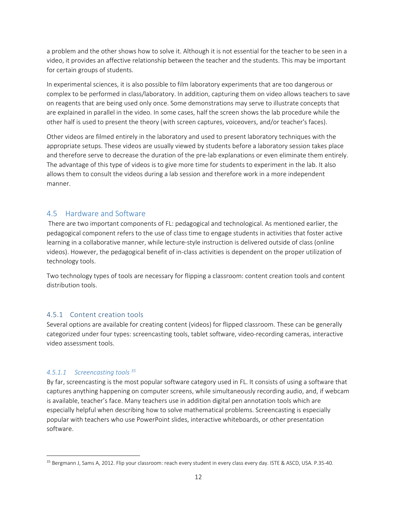a problem and the other shows how to solve it. Although it is not essential for the teacher to be seen in a video, it provides an affective relationship between the teacher and the students. This may be important for certain groups of students.

In experimental sciences, it is also possible to film laboratory experiments that are too dangerous or complex to be performed in class/laboratory. In addition, capturing them on video allows teachers to save on reagents that are being used only once. Some demonstrations may serve to illustrate concepts that are explained in parallel in the video. In some cases, half the screen shows the lab procedure while the other half is used to present the theory (with screen captures, voiceovers, and/or teacher's faces).

Other videos are filmed entirely in the laboratory and used to present laboratory techniques with the appropriate setups. These videos are usually viewed by students before a laboratory session takes place and therefore serve to decrease the duration of the pre‐lab explanations or even eliminate them entirely. The advantage of this type of videos is to give more time for students to experiment in the lab. It also allows them to consult the videos during a lab session and therefore work in a more independent manner.

## 4.5 Hardware and Software

There are two important components of FL: pedagogical and technological. As mentioned earlier, the pedagogical component refers to the use of class time to engage students in activities that foster active learning in a collaborative manner, while lecture‐style instruction is delivered outside of class (online videos). However, the pedagogical benefit of in‐class activities is dependent on the proper utilization of technology tools.

Two technology types of tools are necessary for flipping a classroom: content creation tools and content distribution tools.

## 4.5.1 Content creation tools

Several options are available for creating content (videos) for flipped classroom. These can be generally categorized under four types: screencasting tools, tablet software, video‐recording cameras, interactive video assessment tools.

## *4.5.1.1 Screencasting tools 35*

By far, screencasting is the most popular software category used in FL. It consists of using a software that captures anything happening on computer screens, while simultaneously recording audio, and, if webcam is available, teacher's face. Many teachers use in addition digital pen annotation tools which are especially helpful when describing how to solve mathematical problems. Screencasting is especially popular with teachers who use PowerPoint slides, interactive whiteboards, or other presentation software.

<sup>35</sup> Bergmann J, Sams A, 2012. Flip your classroom: reach every student in every class every day. ISTE & ASCD, USA. P.35-40.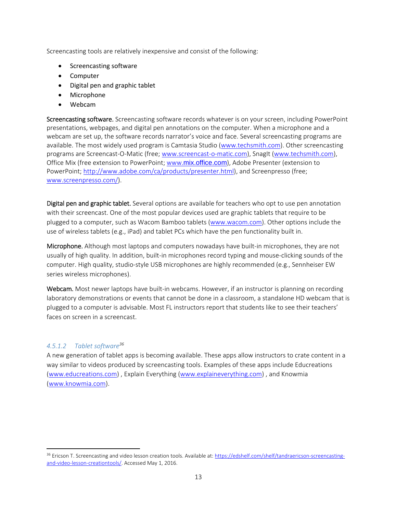Screencasting tools are relatively inexpensive and consist of the following:

- Screencasting software
- Computer
- Digital pen and graphic tablet
- Microphone
- Webcam

Screencasting software. Screencasting software records whatever is on your screen, including PowerPoint presentations, webpages, and digital pen annotations on the computer. When a microphone and a webcam are set up, the software records narrator's voice and face. Several screencasting programs are available. The most widely used program is Camtasia Studio (www.techsmith.com). Other screencasting programs are Screencast‐O‐Matic (free; www.screencast‐o‐matic.com), SnagIt (www.techsmith.com), Office Mix (free extension to PowerPoint; www.mix.office.com), Adobe Presenter (extension to PowerPoint; http://www.adobe.com/ca/products/presenter.html), and Screenpresso (free; www.screenpresso.com/).

Digital pen and graphic tablet. Several options are available for teachers who opt to use pen annotation with their screencast. One of the most popular devices used are graphic tablets that require to be plugged to a computer, such as Wacom Bamboo tablets (www.wacom.com). Other options include the use of wireless tablets (e.g., iPad) and tablet PCs which have the pen functionality built in.

Microphone. Although most laptops and computers nowadays have built-in microphones, they are not usually of high quality. In addition, built‐in microphones record typing and mouse‐clicking sounds of the computer. High quality, studio‐style USB microphones are highly recommended (e.g., Sennheiser EW series wireless microphones).

Webcam. Most newer laptops have built-in webcams. However, if an instructor is planning on recording laboratory demonstrations or events that cannot be done in a classroom, a standalone HD webcam that is plugged to a computer is advisable. Most FL instructors report that students like to see their teachers' faces on screen in a screencast.

## *4.5.1.2 Tablet software36*

A new generation of tablet apps is becoming available. These apps allow instructors to crate content in a way similar to videos produced by screencasting tools. Examples of these apps include Educreations (www.educreations.com) , Explain Everything (www.explaineverything.com) , and Knowmia (www.knowmia.com).

<sup>36</sup> Ericson T. Screencasting and video lesson creation tools. Available at: https://edshelf.com/shelf/tandraericson-screencastingand-video-lesson-creationtools/. Accessed May 1, 2016.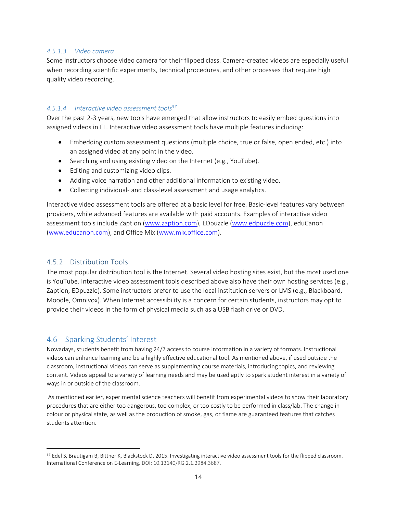#### *4.5.1.3 Video camera*

Some instructors choose video camera for their flipped class. Camera‐created videos are especially useful when recording scientific experiments, technical procedures, and other processes that require high quality video recording.

#### *4.5.1.4 Interactive video assessment tools37*

Over the past 2‐3 years, new tools have emerged that allow instructors to easily embed questions into assigned videos in FL. Interactive video assessment tools have multiple features including:

- Embedding custom assessment questions (multiple choice, true or false, open ended, etc.) into an assigned video at any point in the video.
- Searching and using existing video on the Internet (e.g., YouTube).
- Editing and customizing video clips.
- Adding voice narration and other additional information to existing video.
- Collecting individual- and class-level assessment and usage analytics.

Interactive video assessment tools are offered at a basic level for free. Basic‐level features vary between providers, while advanced features are available with paid accounts. Examples of interactive video assessment tools include Zaption (www.zaption.com), EDpuzzle (www.edpuzzle.com), eduCanon (www.educanon.com), and Office Mix (www.mix.office.com).

# 4.5.2 Distribution Tools

The most popular distribution tool is the Internet. Several video hosting sites exist, but the most used one is YouTube. Interactive video assessment tools described above also have their own hosting services (e.g., Zaption, EDpuzzle). Some instructors prefer to use the local institution servers or LMS (e.g., Blackboard, Moodle, Omnivox). When Internet accessibility is a concern for certain students, instructors may opt to provide their videos in the form of physical media such as a USB flash drive or DVD.

# 4.6 Sparking Students' Interest

Nowadays, students benefit from having 24/7 access to course information in a variety of formats. Instructional videos can enhance learning and be a highly effective educational tool. As mentioned above, if used outside the classroom, instructional videos can serve as supplementing course materials, introducing topics, and reviewing content. Videos appeal to a variety of learning needs and may be used aptly to spark student interest in a variety of ways in or outside of the classroom.

As mentioned earlier, experimental science teachers will benefit from experimental videos to show their laboratory procedures that are either too dangerous, too complex, or too costly to be performed in class/lab. The change in colour or physical state, as well as the production of smoke, gas, or flame are guaranteed features that catches students attention.

<sup>&</sup>lt;sup>37</sup> Edel S, Brautigam B, Bittner K, Blackstock D, 2015. Investigating interactive video assessment tools for the flipped classroom. International Conference on E‐Learning. DOI: 10.13140/RG.2.1.2984.3687.